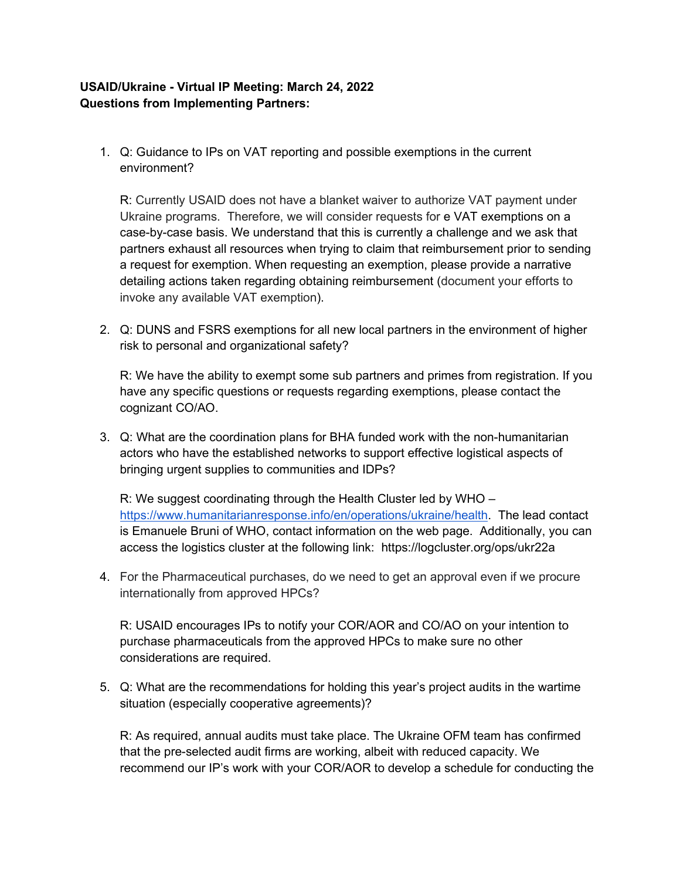## **USAID/Ukraine - Virtual IP Meeting: March 24, 2022 Questions from Implementing Partners:**

1. Q: Guidance to IPs on VAT reporting and possible exemptions in the current environment?

R: Currently USAID does not have a blanket waiver to authorize VAT payment under Ukraine programs. Therefore, we will consider requests for e VAT exemptions on a case-by-case basis. We understand that this is currently a challenge and we ask that partners exhaust all resources when trying to claim that reimbursement prior to sending a request for exemption. When requesting an exemption, please provide a narrative detailing actions taken regarding obtaining reimbursement (document your efforts to invoke any available VAT exemption).

2. Q: DUNS and FSRS exemptions for all new local partners in the environment of higher risk to personal and organizational safety?

R: We have the ability to exempt some sub partners and primes from registration. If you have any specific questions or requests regarding exemptions, please contact the cognizant CO/AO.

3. Q: What are the coordination plans for BHA funded work with the non-humanitarian actors who have the established networks to support effective logistical aspects of bringing urgent supplies to communities and IDPs?

R: We suggest coordinating through the Health Cluster led by WHO – [https://www.humanitarianresponse.info/en/operations/ukraine/health.](https://www.humanitarianresponse.info/en/operations/ukraine/health) The lead contact is Emanuele Bruni of WHO, contact information on the web page. Additionally, you can access the logistics cluster at the following link: https://logcluster.org/ops/ukr22a

4. For the Pharmaceutical purchases, do we need to get an approval even if we procure internationally from approved HPCs?

R: USAID encourages IPs to notify your COR/AOR and CO/AO on your intention to purchase pharmaceuticals from the approved HPCs to make sure no other considerations are required.

5. Q: What are the recommendations for holding this year's project audits in the wartime situation (especially cooperative agreements)?

R: As required, annual audits must take place. The Ukraine OFM team has confirmed that the pre-selected audit firms are working, albeit with reduced capacity. We recommend our IP's work with your COR/AOR to develop a schedule for conducting the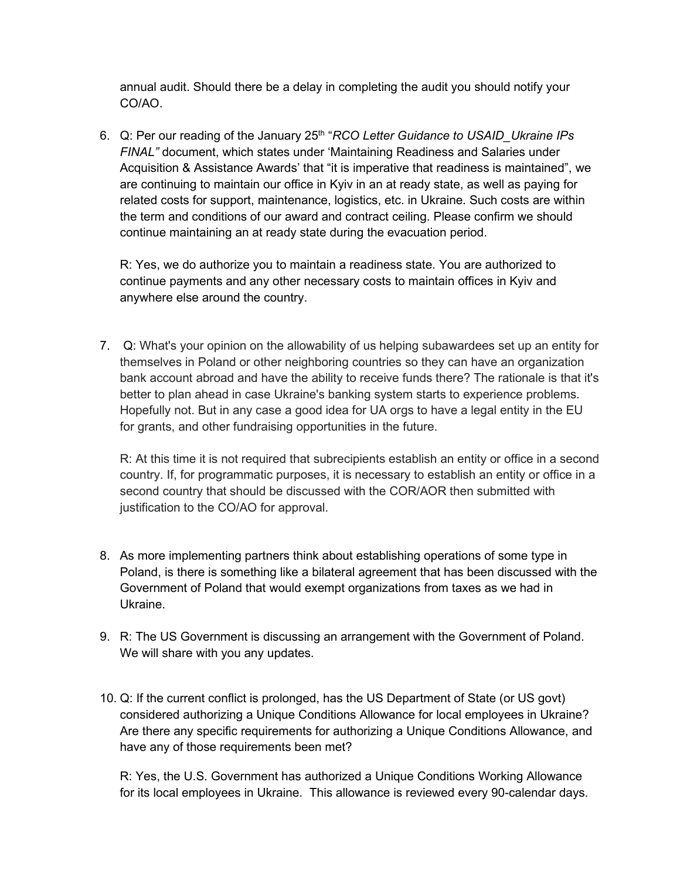annual audit. Should there be a delay in completing the audit you should notify your CO/AO.

6. Q: Per our reading of the January 25th "*RCO Letter Guidance to USAID\_Ukraine IPs FINAL"* document, which states under 'Maintaining Readiness and Salaries under Acquisition & Assistance Awards' that "it is imperative that readiness is maintained", we are continuing to maintain our office in Kyiv in an at ready state, as well as paying for related costs for support, maintenance, logistics, etc. in Ukraine. Such costs are within the term and conditions of our award and contract ceiling. Please confirm we should continue maintaining an at ready state during the evacuation period.

R: Yes, we do authorize you to maintain a readiness state. You are authorized to continue payments and any other necessary costs to maintain offices in Kyiv and anywhere else around the country.

7. Q: What's your opinion on the allowability of us helping subawardees set up an entity for themselves in Poland or other neighboring countries so they can have an organization bank account abroad and have the ability to receive funds there? The rationale is that it's better to plan ahead in case Ukraine's banking system starts to experience problems. Hopefully not. But in any case a good idea for UA orgs to have a legal entity in the EU for grants, and other fundraising opportunities in the future.

R: At this time it is not required that subrecipients establish an entity or office in a second country. If, for programmatic purposes, it is necessary to establish an entity or office in a second country that should be discussed with the COR/AOR then submitted with justification to the CO/AO for approval.

- 8. As more implementing partners think about establishing operations of some type in Poland, is there is something like a bilateral agreement that has been discussed with the Government of Poland that would exempt organizations from taxes as we had in Ukraine.
- 9. R: The US Government is discussing an arrangement with the Government of Poland. We will share with you any updates.
- 10. Q: If the current conflict is prolonged, has the US Department of State (or US govt) considered authorizing a Unique Conditions Allowance for local employees in Ukraine? Are there any specific requirements for authorizing a Unique Conditions Allowance, and have any of those requirements been met?

R: Yes, the U.S. Government has authorized a Unique Conditions Working Allowance for its local employees in Ukraine. This allowance is reviewed every 90-calendar days.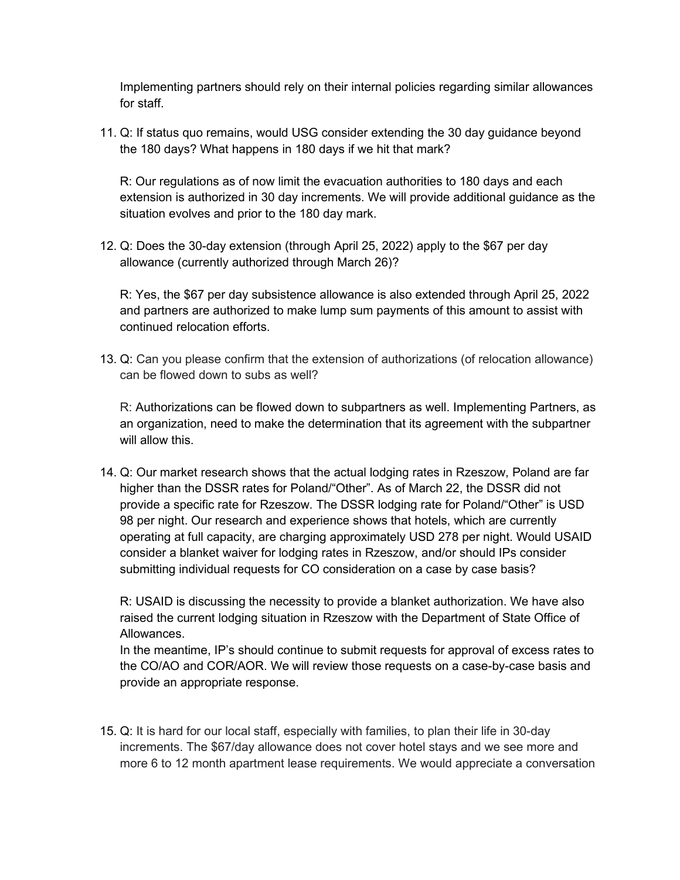Implementing partners should rely on their internal policies regarding similar allowances for staff.

11. Q: If status quo remains, would USG consider extending the 30 day guidance beyond the 180 days? What happens in 180 days if we hit that mark?

R: Our regulations as of now limit the evacuation authorities to 180 days and each extension is authorized in 30 day increments. We will provide additional guidance as the situation evolves and prior to the 180 day mark.

12. Q: Does the 30-day extension (through April 25, 2022) apply to the \$67 per day allowance (currently authorized through March 26)?

R: Yes, the \$67 per day subsistence allowance is also extended through April 25, 2022 and partners are authorized to make lump sum payments of this amount to assist with continued relocation efforts.

13. Q: Can you please confirm that the extension of authorizations (of relocation allowance) can be flowed down to subs as well?

R: Authorizations can be flowed down to subpartners as well. Implementing Partners, as an organization, need to make the determination that its agreement with the subpartner will allow this.

14. Q: Our market research shows that the actual lodging rates in Rzeszow, Poland are far higher than the DSSR rates for Poland/"Other". As of March 22, the DSSR did not provide a specific rate for Rzeszow. The DSSR lodging rate for Poland/"Other" is USD 98 per night. Our research and experience shows that hotels, which are currently operating at full capacity, are charging approximately USD 278 per night. Would USAID consider a blanket waiver for lodging rates in Rzeszow, and/or should IPs consider submitting individual requests for CO consideration on a case by case basis?

R: USAID is discussing the necessity to provide a blanket authorization. We have also raised the current lodging situation in Rzeszow with the Department of State Office of Allowances.

In the meantime, IP's should continue to submit requests for approval of excess rates to the CO/AO and COR/AOR. We will review those requests on a case-by-case basis and provide an appropriate response.

15. Q: It is hard for our local staff, especially with families, to plan their life in 30-day increments. The \$67/day allowance does not cover hotel stays and we see more and more 6 to 12 month apartment lease requirements. We would appreciate a conversation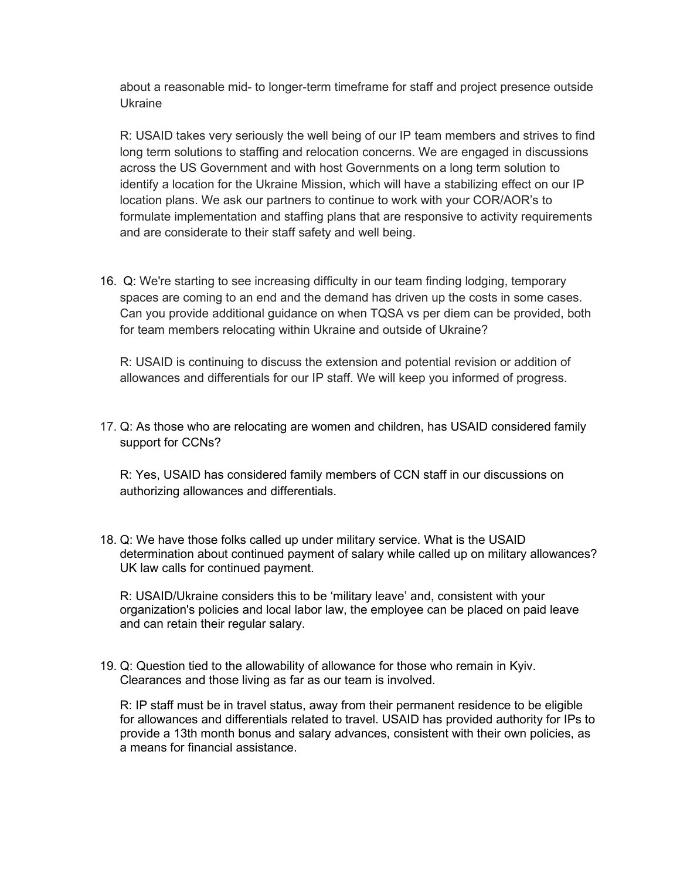about a reasonable mid- to longer-term timeframe for staff and project presence outside Ukraine

R: USAID takes very seriously the well being of our IP team members and strives to find long term solutions to staffing and relocation concerns. We are engaged in discussions across the US Government and with host Governments on a long term solution to identify a location for the Ukraine Mission, which will have a stabilizing effect on our IP location plans. We ask our partners to continue to work with your COR/AOR's to formulate implementation and staffing plans that are responsive to activity requirements and are considerate to their staff safety and well being.

16. Q: We're starting to see increasing difficulty in our team finding lodging, temporary spaces are coming to an end and the demand has driven up the costs in some cases. Can you provide additional guidance on when TQSA vs per diem can be provided, both for team members relocating within Ukraine and outside of Ukraine?

R: USAID is continuing to discuss the extension and potential revision or addition of allowances and differentials for our IP staff. We will keep you informed of progress.

17. Q: As those who are relocating are women and children, has USAID considered family support for CCNs?

R: Yes, USAID has considered family members of CCN staff in our discussions on authorizing allowances and differentials.

18. Q: We have those folks called up under military service. What is the USAID determination about continued payment of salary while called up on military allowances? UK law calls for continued payment.

R: USAID/Ukraine considers this to be 'military leave' and, consistent with your organization's policies and local labor law, the employee can be placed on paid leave and can retain their regular salary.

19. Q: Question tied to the allowability of allowance for those who remain in Kyiv. Clearances and those living as far as our team is involved.

R: IP staff must be in travel status, away from their permanent residence to be eligible for allowances and differentials related to travel. USAID has provided authority for IPs to provide a 13th month bonus and salary advances, consistent with their own policies, as a means for financial assistance.